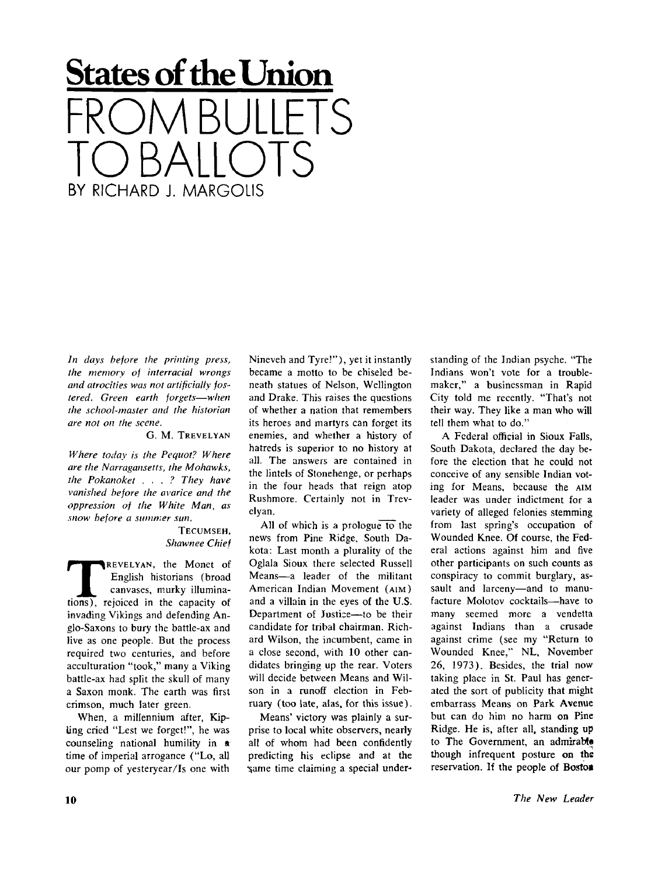## **States of the Union**  FROM BULLETS TO BALLOTS BY RICHARD I. MARGOLIS

*In days before the printing press, the memory of interracial wrongs and atrocities was not artificially fostered. Green earth forgets—when the school-master and the historian are not on the scene.* 

## G. M. TREVELYAN

*Where today is the Pequot? Where are the Narragansetts, the Mohawks, the Pokanoket . . . ? They have vanished before the avarice and the oppression of the White Man, as snow before a summer sun.* 

## TECUMSEH, *Shawnee Chief*

**THEOREM CONTROVERTS**<br>
THEORET CONTROLLED CONSIST CONSISTENT CONSIST CONSISTENT CONSIST CONSIST CONSIST CONSIST CONSIST CONSIST CONSIST CONSIST CONSIST CONSIST CONSIST CONSISTENT OF A CONSISTENT OF A CONSISTENT OF A CONSIS REVELYAN, the Monet of English historians (broad canvases, murky illuminainvading Vikings and defending Anglo-Saxons to bury the battle-ax and live as one people. But the process required two centuries, and before acculturation "took," many a Viking battle-ax had split the skull of many a Saxon monk. The earth was first crimson, much later green.

When, a millennium after, Kipling cried "Lest we forget!", he was counseling national humility in **a**  time of imperial arrogance ("Lo, all our pomp of yesteryear/Is one with Nineveh and Tyre!"), yet it instantly became a motto to be chiseled beneath statues of Nelson, Wellington and Drake. This raises the questions of whether a nation that remembers its heroes and martyrs can forget its enemies, and whether a history of hatreds is superior to no history at all. The answers are contained in the lintels of Stonehenge, or perhaps in the four heads that reign atop Rushmore. Certainly not in Trevelyan.

All of which is a prologue to the news from Pine Ridge, South Dakota: Last month a plurality of the Oglala Sioux there selected Russell Means—a leader of the militant American Indian Movement (AIM) and a villain in the eyes of the U.S. Department of Justice—to be their candidate for tribal chairman. Richard Wilson, the incumbent, came in a close second, with 10 other candidates bringing up the rear. Voters will decide between Means and Wilson in a runoff election in February (too late, alas, for this issue).

Means' victory was plainly a surprise to local white observers, nearly all of whom had been confidently predicting his eclipse and at the same time claiming a special understanding of the Indian psyche. "The Indians won't vote for a troublemaker," a businessman in Rapid City told me recently. "That's not their way. They like a man who will tell them what to do."

A Federal official in Sioux Falls, South Dakota, declared the day before the election that he could not conceive of any sensible Indian voting for Means, because the AIM leader was under indictment for a variety of alleged felonies stemming from last spring's occupation of Wounded Knee. Of course, the Federal actions against him and five other participants on such counts as conspiracy to commit burglary, assault and larceny—and to manufacture Molotov cocktails—have to many seemed more a vendetta against Indians than a crusade against crime (see my "Return to Wounded Knee," NL, November 26, 1973). Besides, the trial now taking place in St. Paul has generated the sort of publicity that might embarrass Means on Park Avenue but can do him no harm on Pine Ridge. He is, after all, standing up to The Government, an admirable though infrequent posture on the reservation. If the people of Boston